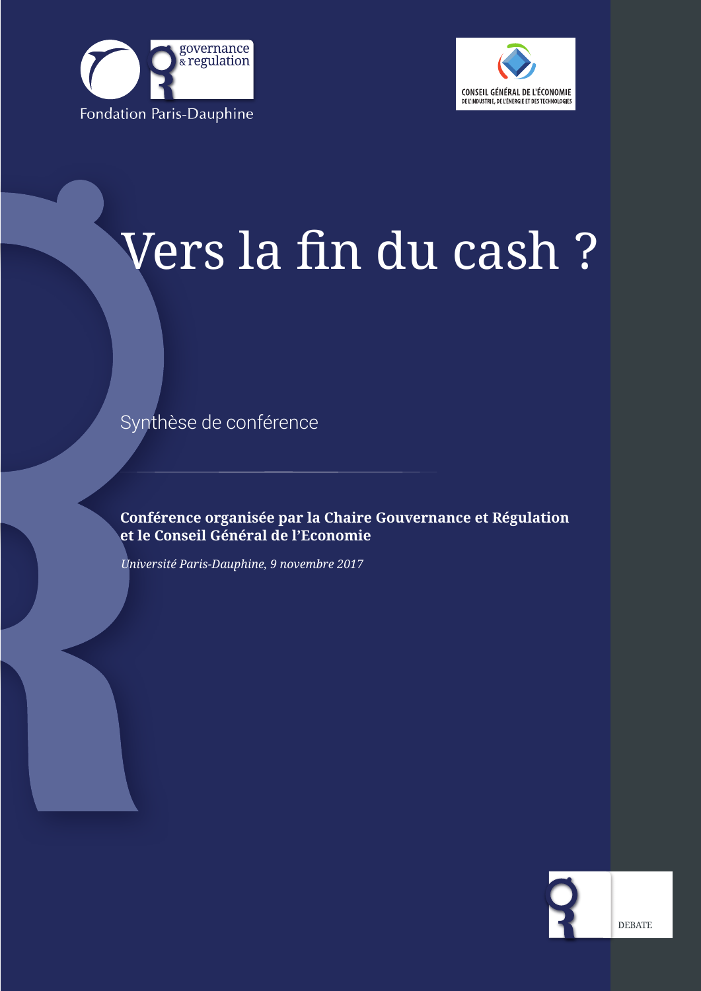



# Vers la fin du cash ?

Synthèse de conférence

**Conférence organisée par la Chaire Gouvernance et Régulation et le Conseil Général de l'Economie**

*Université Paris-Dauphine, 9 novembre 2017*

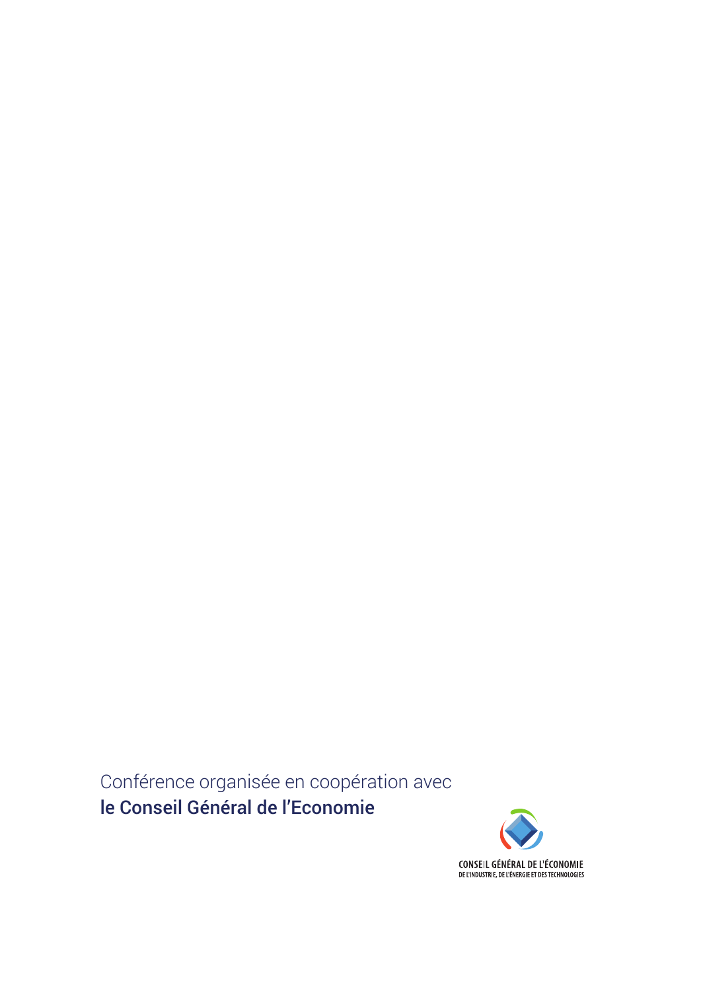Conférence organisée en coopération avec le Conseil Général de l'Economie

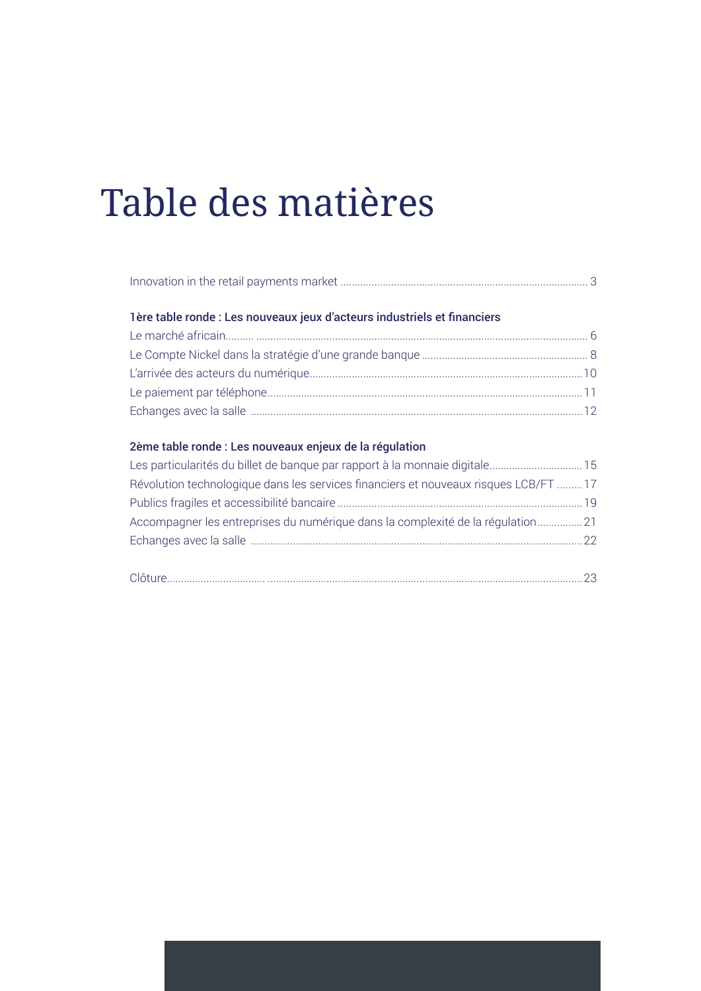## Table des matières

| 1ère table ronde : Les nouveaux jeux d'acteurs industriels et financiers |  |
|--------------------------------------------------------------------------|--|
|                                                                          |  |
|                                                                          |  |
|                                                                          |  |
|                                                                          |  |
|                                                                          |  |

| Les particularités du billet de banque par rapport à la monnaie digitale 15          |  |
|--------------------------------------------------------------------------------------|--|
| Révolution technologique dans les services financiers et nouveaux risques LCB/FT  17 |  |
|                                                                                      |  |
| Accompagner les entreprises du numérique dans la complexité de la régulation 21      |  |
|                                                                                      |  |
|                                                                                      |  |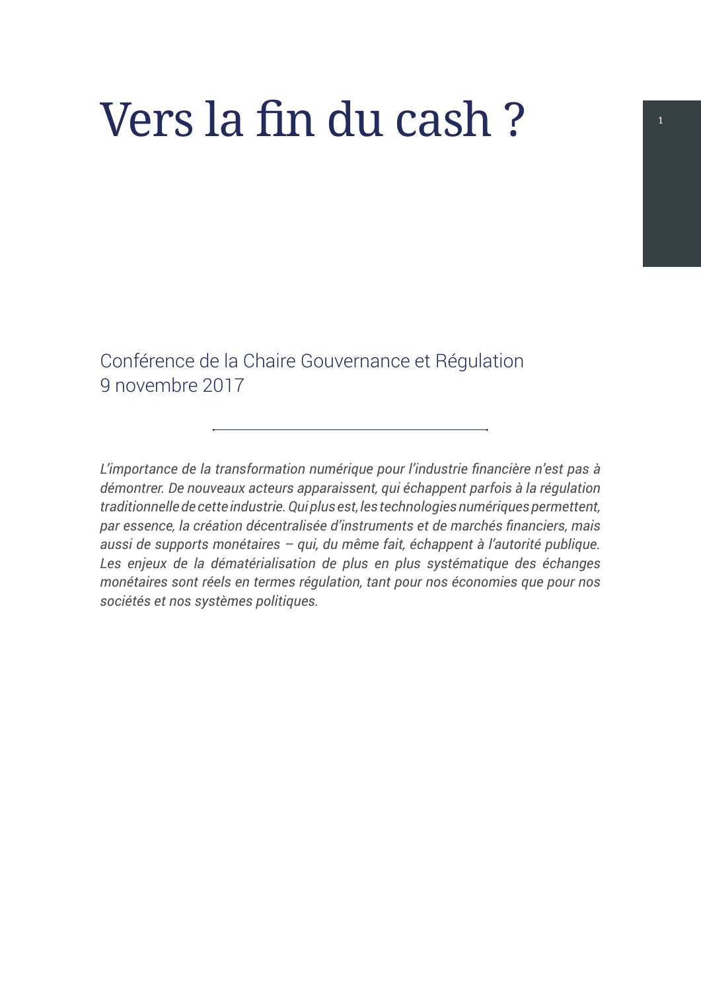# Vers la fin du cash ? <sup>1</sup>

Conférence de la Chaire Gouvernance et Régulation 9 novembre 2017

*L'importance de la transformation numérique pour l'industrie financière n'est pas à démontrer. De nouveaux acteurs apparaissent, qui échappent parfois à la régulation traditionnelle de cette industrie. Qui plus est, les technologies numériques permettent, par essence, la création décentralisée d'instruments et de marchés financiers, mais aussi de supports monétaires – qui, du même fait, échappent à l'autorité publique.*  Les enjeux de la dématérialisation de plus en plus systématique des échanges *monétaires sont réels en termes régulation, tant pour nos économies que pour nos sociétés et nos systèmes politiques.*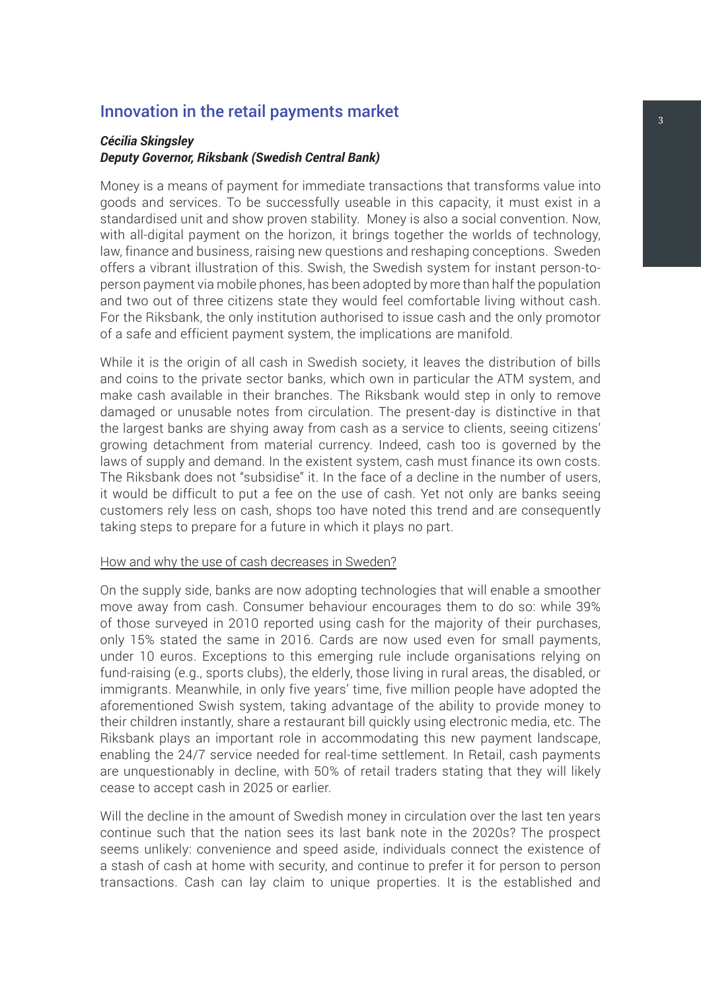#### <span id="page-6-0"></span>Innovation in the retail payments market

#### *Cécilia Skingsley Deputy Governor, Riksbank (Swedish Central Bank)*

Money is a means of payment for immediate transactions that transforms value into goods and services. To be successfully useable in this capacity, it must exist in a standardised unit and show proven stability. Money is also a social convention. Now, with all-digital payment on the horizon, it brings together the worlds of technology, law, finance and business, raising new questions and reshaping conceptions. Sweden offers a vibrant illustration of this. Swish, the Swedish system for instant person-toperson payment via mobile phones, has been adopted by more than half the population and two out of three citizens state they would feel comfortable living without cash. For the Riksbank, the only institution authorised to issue cash and the only promotor of a safe and efficient payment system, the implications are manifold.

While it is the origin of all cash in Swedish society, it leaves the distribution of bills and coins to the private sector banks, which own in particular the ATM system, and make cash available in their branches. The Riksbank would step in only to remove damaged or unusable notes from circulation. The present-day is distinctive in that the largest banks are shying away from cash as a service to clients, seeing citizens' growing detachment from material currency. Indeed, cash too is governed by the laws of supply and demand. In the existent system, cash must finance its own costs. The Riksbank does not "subsidise" it. In the face of a decline in the number of users, it would be difficult to put a fee on the use of cash. Yet not only are banks seeing customers rely less on cash, shops too have noted this trend and are consequently taking steps to prepare for a future in which it plays no part.

#### How and why the use of cash decreases in Sweden?

On the supply side, banks are now adopting technologies that will enable a smoother move away from cash. Consumer behaviour encourages them to do so: while 39% of those surveyed in 2010 reported using cash for the majority of their purchases, only 15% stated the same in 2016. Cards are now used even for small payments, under 10 euros. Exceptions to this emerging rule include organisations relying on fund-raising (e.g., sports clubs), the elderly, those living in rural areas, the disabled, or immigrants. Meanwhile, in only five years' time, five million people have adopted the aforementioned Swish system, taking advantage of the ability to provide money to their children instantly, share a restaurant bill quickly using electronic media, etc. The Riksbank plays an important role in accommodating this new payment landscape, enabling the 24/7 service needed for real-time settlement. In Retail, cash payments are unquestionably in decline, with 50% of retail traders stating that they will likely cease to accept cash in 2025 or earlier.

Will the decline in the amount of Swedish money in circulation over the last ten years continue such that the nation sees its last bank note in the 2020s? The prospect seems unlikely: convenience and speed aside, individuals connect the existence of a stash of cash at home with security, and continue to prefer it for person to person transactions. Cash can lay claim to unique properties. It is the established and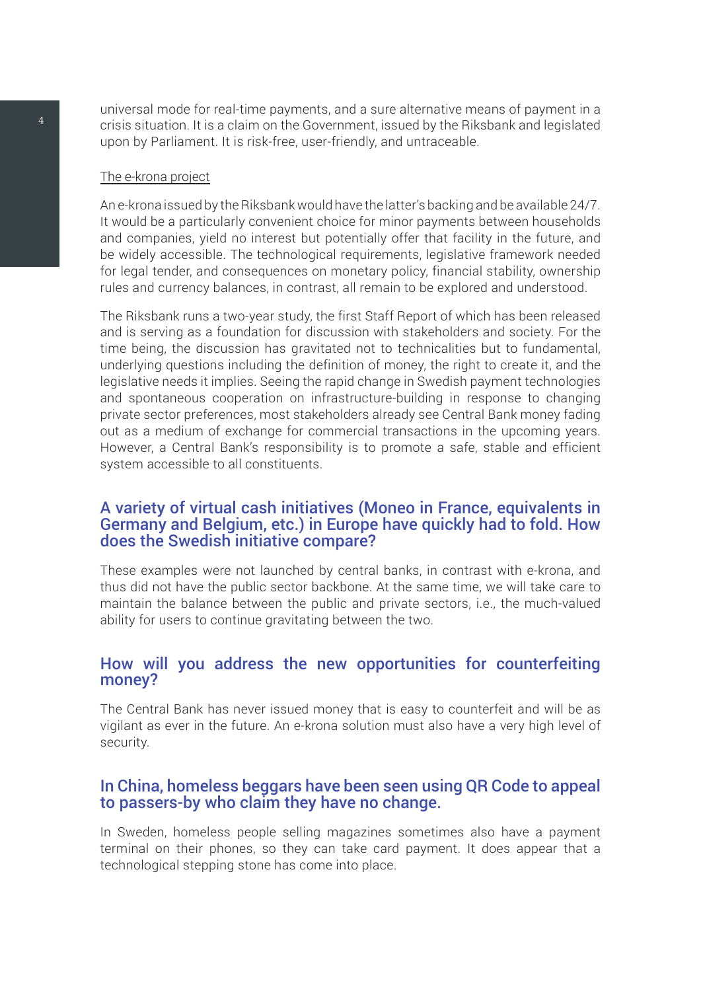universal mode for real-time payments, and a sure alternative means of payment in a crisis situation. It is a claim on the Government, issued by the Riksbank and legislated upon by Parliament. It is risk-free, user-friendly, and untraceable.

#### The e-krona project

An e-krona issued by the Riksbank would have the latter's backing and be available 24/7. It would be a particularly convenient choice for minor payments between households and companies, yield no interest but potentially offer that facility in the future, and be widely accessible. The technological requirements, legislative framework needed for legal tender, and consequences on monetary policy, financial stability, ownership rules and currency balances, in contrast, all remain to be explored and understood.

The Riksbank runs a two-year study, the first Staff Report of which has been released and is serving as a foundation for discussion with stakeholders and society. For the time being, the discussion has gravitated not to technicalities but to fundamental, underlying questions including the definition of money, the right to create it, and the legislative needs it implies. Seeing the rapid change in Swedish payment technologies and spontaneous cooperation on infrastructure-building in response to changing private sector preferences, most stakeholders already see Central Bank money fading out as a medium of exchange for commercial transactions in the upcoming years. However, a Central Bank's responsibility is to promote a safe, stable and efficient system accessible to all constituents.

#### A variety of virtual cash initiatives (Moneo in France, equivalents in Germany and Belgium, etc.) in Europe have quickly had to fold. How does the Swedish initiative compare?

These examples were not launched by central banks, in contrast with e-krona, and thus did not have the public sector backbone. At the same time, we will take care to maintain the balance between the public and private sectors, i.e., the much-valued ability for users to continue gravitating between the two.

#### How will you address the new opportunities for counterfeiting money?

The Central Bank has never issued money that is easy to counterfeit and will be as vigilant as ever in the future. An e-krona solution must also have a very high level of security.

#### In China, homeless beggars have been seen using QR Code to appeal to passers-by who claim they have no change.

In Sweden, homeless people selling magazines sometimes also have a payment terminal on their phones, so they can take card payment. It does appear that a technological stepping stone has come into place.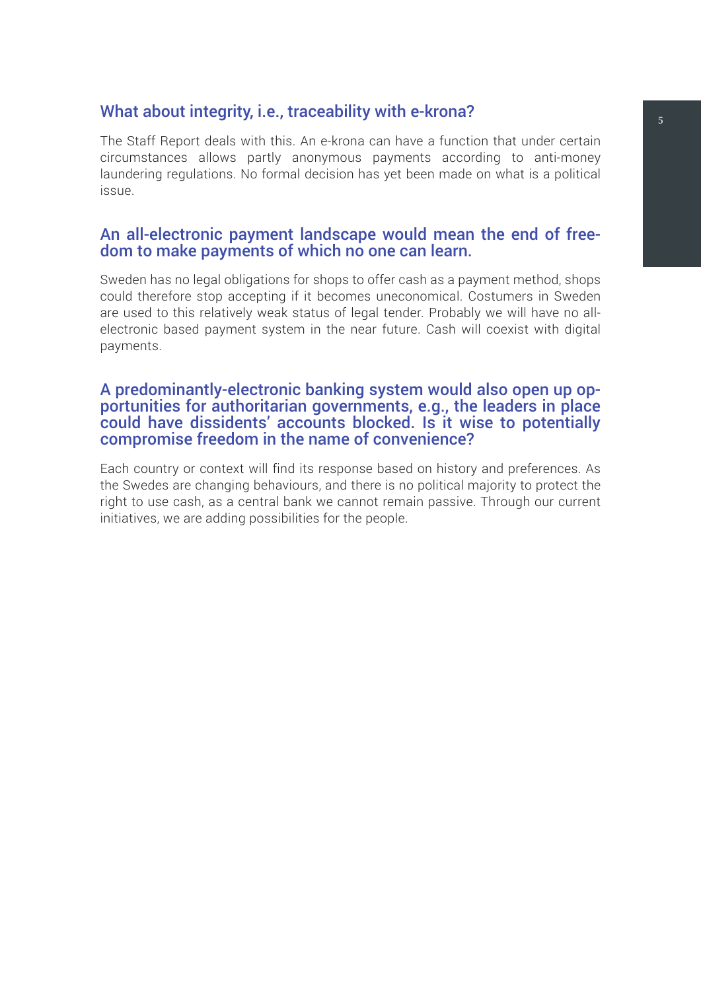### What about integrity, i.e., traceability with e-krona?

The Staff Report deals with this. An e-krona can have a function that under certain circumstances allows partly anonymous payments according to anti-money laundering regulations. No formal decision has yet been made on what is a political issue.

#### An all-electronic payment landscape would mean the end of freedom to make payments of which no one can learn.

Sweden has no legal obligations for shops to offer cash as a payment method, shops could therefore stop accepting if it becomes uneconomical. Costumers in Sweden are used to this relatively weak status of legal tender. Probably we will have no allelectronic based payment system in the near future. Cash will coexist with digital payments.

#### A predominantly-electronic banking system would also open up opportunities for authoritarian governments, e.g., the leaders in place could have dissidents' accounts blocked. Is it wise to potentially compromise freedom in the name of convenience?

Each country or context will find its response based on history and preferences. As the Swedes are changing behaviours, and there is no political majority to protect the right to use cash, as a central bank we cannot remain passive. Through our current initiatives, we are adding possibilities for the people.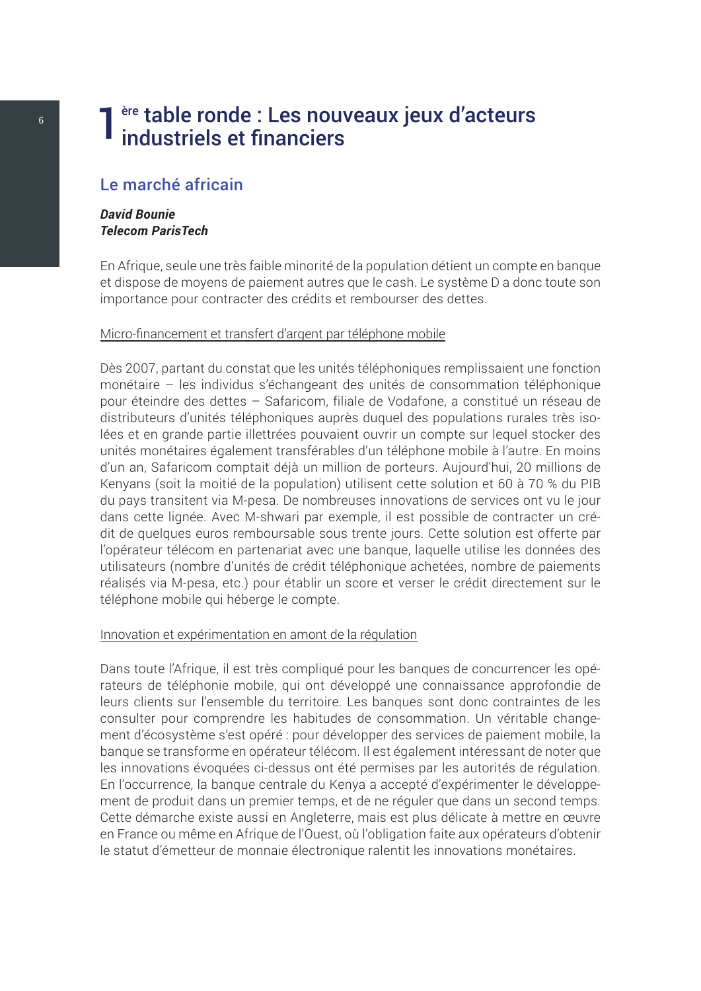## <span id="page-9-0"></span>ère table ronde : Les nouveaux jeux d'acteurs industriels et financiers

#### Le marché africain

#### *David Bounie Telecom ParisTech*

En Afrique, seule une très faible minorité de la population détient un compte en banque et dispose de moyens de paiement autres que le cash. Le système D a donc toute son importance pour contracter des crédits et rembourser des dettes.

#### Micro-financement et transfert d'argent par téléphone mobile

Dès 2007, partant du constat que les unités téléphoniques remplissaient une fonction monétaire – les individus s'échangeant des unités de consommation téléphonique pour éteindre des dettes – Safaricom, filiale de Vodafone, a constitué un réseau de distributeurs d'unités téléphoniques auprès duquel des populations rurales très isolées et en grande partie illettrées pouvaient ouvrir un compte sur lequel stocker des unités monétaires également transférables d'un téléphone mobile à l'autre. En moins d'un an, Safaricom comptait déjà un million de porteurs. Aujourd'hui, 20 millions de Kenyans (soit la moitié de la population) utilisent cette solution et 60 à 70 % du PIB du pays transitent via M-pesa. De nombreuses innovations de services ont vu le jour dans cette lignée. Avec M-shwari par exemple, il est possible de contracter un crédit de quelques euros remboursable sous trente jours. Cette solution est offerte par l'opérateur télécom en partenariat avec une banque, laquelle utilise les données des utilisateurs (nombre d'unités de crédit téléphonique achetées, nombre de paiements réalisés via M-pesa, etc.) pour établir un score et verser le crédit directement sur le téléphone mobile qui héberge le compte.

#### Innovation et expérimentation en amont de la régulation

Dans toute l'Afrique, il est très compliqué pour les banques de concurrencer les opérateurs de téléphonie mobile, qui ont développé une connaissance approfondie de leurs clients sur l'ensemble du territoire. Les banques sont donc contraintes de les consulter pour comprendre les habitudes de consommation. Un véritable changement d'écosystème s'est opéré : pour développer des services de paiement mobile, la banque se transforme en opérateur télécom. Il est également intéressant de noter que les innovations évoquées ci-dessus ont été permises par les autorités de régulation. En l'occurrence, la banque centrale du Kenya a accepté d'expérimenter le développement de produit dans un premier temps, et de ne réguler que dans un second temps. Cette démarche existe aussi en Angleterre, mais est plus délicate à mettre en œuvre en France ou même en Afrique de l'Ouest, où l'obligation faite aux opérateurs d'obtenir le statut d'émetteur de monnaie électronique ralentit les innovations monétaires.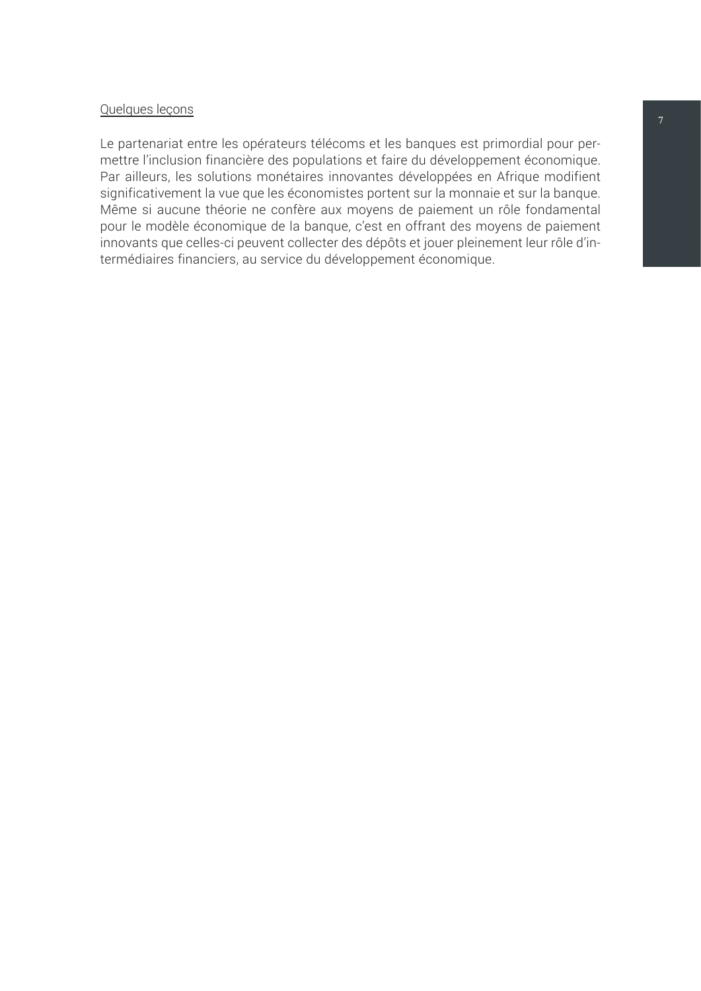#### Quelques leçons

Le partenariat entre les opérateurs télécoms et les banques est primordial pour permettre l'inclusion financière des populations et faire du développement économique. Par ailleurs, les solutions monétaires innovantes développées en Afrique modifient significativement la vue que les économistes portent sur la monnaie et sur la banque. Même si aucune théorie ne confère aux moyens de paiement un rôle fondamental pour le modèle économique de la banque, c'est en offrant des moyens de paiement innovants que celles-ci peuvent collecter des dépôts et jouer pleinement leur rôle d'intermédiaires financiers, au service du développement économique.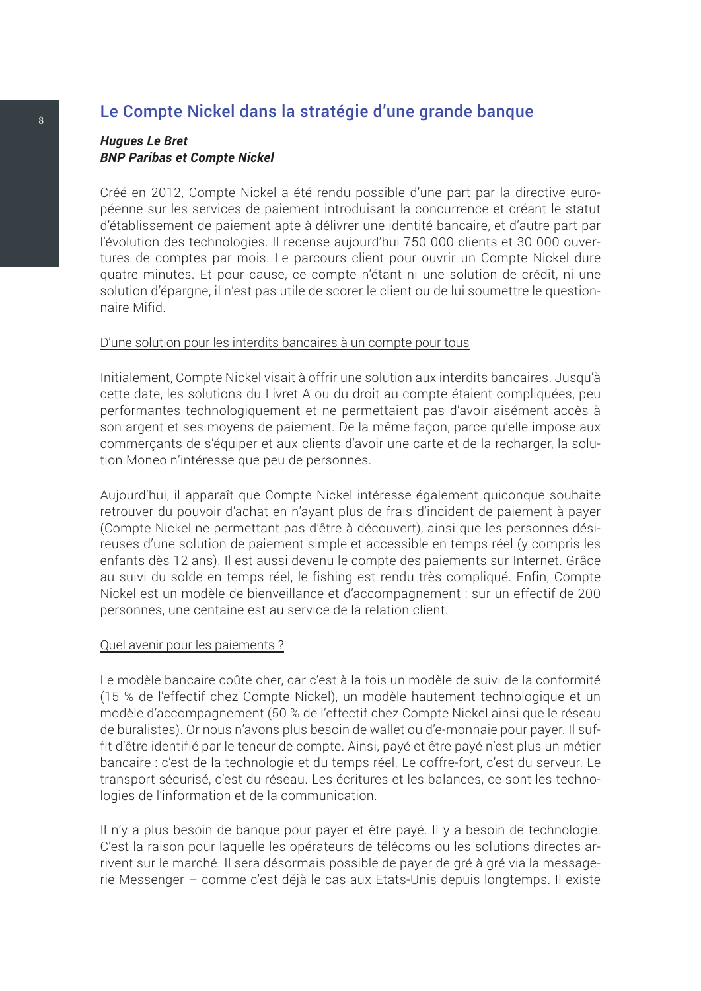## <span id="page-11-0"></span>8 Le Compte Nickel dans la stratégie d'une grande banque

#### *Hugues Le Bret BNP Paribas et Compte Nickel*

Créé en 2012, Compte Nickel a été rendu possible d'une part par la directive européenne sur les services de paiement introduisant la concurrence et créant le statut d'établissement de paiement apte à délivrer une identité bancaire, et d'autre part par l'évolution des technologies. Il recense aujourd'hui 750 000 clients et 30 000 ouvertures de comptes par mois. Le parcours client pour ouvrir un Compte Nickel dure quatre minutes. Et pour cause, ce compte n'étant ni une solution de crédit, ni une solution d'épargne, il n'est pas utile de scorer le client ou de lui soumettre le questionnaire Mifid.

#### D'une solution pour les interdits bancaires à un compte pour tous

Initialement, Compte Nickel visait à offrir une solution aux interdits bancaires. Jusqu'à cette date, les solutions du Livret A ou du droit au compte étaient compliquées, peu performantes technologiquement et ne permettaient pas d'avoir aisément accès à son argent et ses moyens de paiement. De la même façon, parce qu'elle impose aux commerçants de s'équiper et aux clients d'avoir une carte et de la recharger, la solution Moneo n'intéresse que peu de personnes.

Aujourd'hui, il apparaît que Compte Nickel intéresse également quiconque souhaite retrouver du pouvoir d'achat en n'ayant plus de frais d'incident de paiement à payer (Compte Nickel ne permettant pas d'être à découvert), ainsi que les personnes désireuses d'une solution de paiement simple et accessible en temps réel (y compris les enfants dès 12 ans). Il est aussi devenu le compte des paiements sur Internet. Grâce au suivi du solde en temps réel, le fishing est rendu très compliqué. Enfin, Compte Nickel est un modèle de bienveillance et d'accompagnement : sur un effectif de 200 personnes, une centaine est au service de la relation client.

#### Quel avenir pour les paiements ?

Le modèle bancaire coûte cher, car c'est à la fois un modèle de suivi de la conformité (15 % de l'effectif chez Compte Nickel), un modèle hautement technologique et un modèle d'accompagnement (50 % de l'effectif chez Compte Nickel ainsi que le réseau de buralistes). Or nous n'avons plus besoin de wallet ou d'e-monnaie pour payer. Il suffit d'être identifié par le teneur de compte. Ainsi, payé et être payé n'est plus un métier bancaire : c'est de la technologie et du temps réel. Le coffre-fort, c'est du serveur. Le transport sécurisé, c'est du réseau. Les écritures et les balances, ce sont les technologies de l'information et de la communication.

Il n'y a plus besoin de banque pour payer et être payé. Il y a besoin de technologie. C'est la raison pour laquelle les opérateurs de télécoms ou les solutions directes arrivent sur le marché. Il sera désormais possible de payer de gré à gré via la messagerie Messenger – comme c'est déjà le cas aux Etats-Unis depuis longtemps. Il existe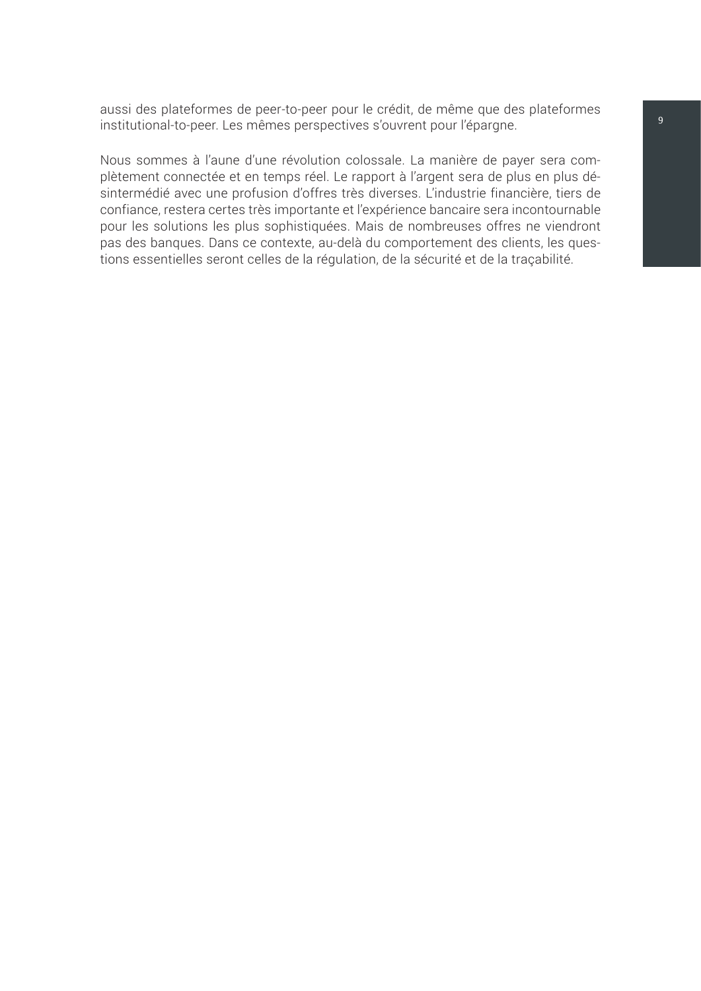aussi des plateformes de peer-to-peer pour le crédit, de même que des plateformes institutional-to-peer. Les mêmes perspectives s'ouvrent pour l'épargne.

Nous sommes à l'aune d'une révolution colossale. La manière de payer sera complètement connectée et en temps réel. Le rapport à l'argent sera de plus en plus désintermédié avec une profusion d'offres très diverses. L'industrie financière, tiers de confiance, restera certes très importante et l'expérience bancaire sera incontournable pour les solutions les plus sophistiquées. Mais de nombreuses offres ne viendront pas des banques. Dans ce contexte, au-delà du comportement des clients, les questions essentielles seront celles de la régulation, de la sécurité et de la traçabilité.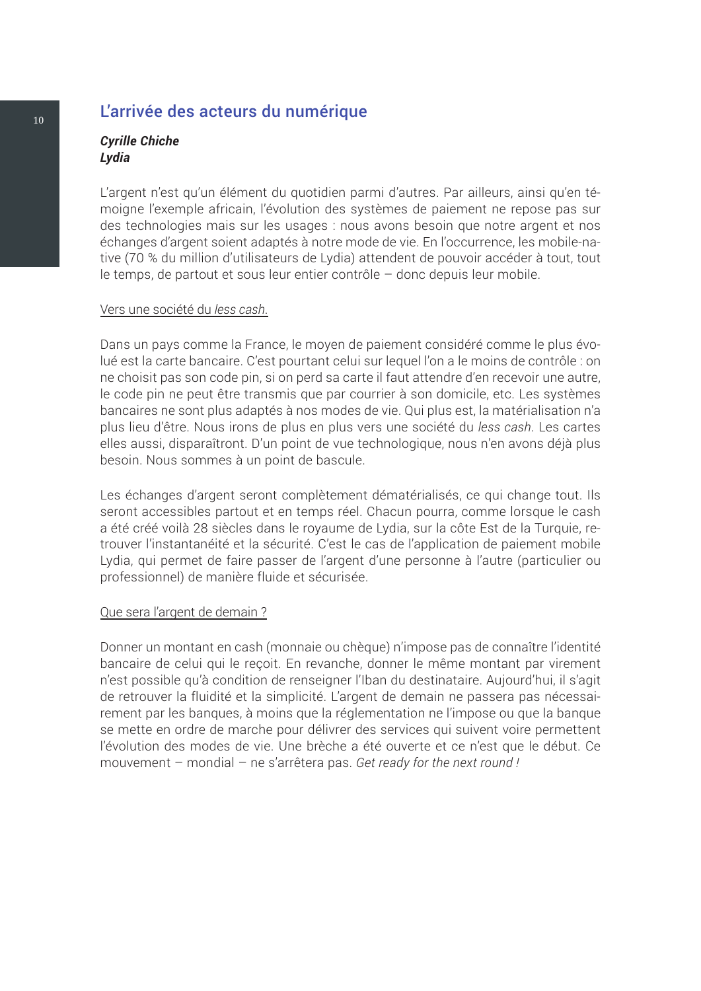### <span id="page-13-0"></span>10 L'arrivée des acteurs du numérique

#### *Cyrille Chiche Lydia*

L'argent n'est qu'un élément du quotidien parmi d'autres. Par ailleurs, ainsi qu'en témoigne l'exemple africain, l'évolution des systèmes de paiement ne repose pas sur des technologies mais sur les usages : nous avons besoin que notre argent et nos échanges d'argent soient adaptés à notre mode de vie. En l'occurrence, les mobile-native (70 % du million d'utilisateurs de Lydia) attendent de pouvoir accéder à tout, tout le temps, de partout et sous leur entier contrôle – donc depuis leur mobile.

#### Vers une société du *less cash*.

Dans un pays comme la France, le moyen de paiement considéré comme le plus évolué est la carte bancaire. C'est pourtant celui sur lequel l'on a le moins de contrôle : on ne choisit pas son code pin, si on perd sa carte il faut attendre d'en recevoir une autre, le code pin ne peut être transmis que par courrier à son domicile, etc. Les systèmes bancaires ne sont plus adaptés à nos modes de vie. Qui plus est, la matérialisation n'a plus lieu d'être. Nous irons de plus en plus vers une société du *less cash*. Les cartes elles aussi, disparaîtront. D'un point de vue technologique, nous n'en avons déjà plus besoin. Nous sommes à un point de bascule.

Les échanges d'argent seront complètement dématérialisés, ce qui change tout. Ils seront accessibles partout et en temps réel. Chacun pourra, comme lorsque le cash a été créé voilà 28 siècles dans le royaume de Lydia, sur la côte Est de la Turquie, retrouver l'instantanéité et la sécurité. C'est le cas de l'application de paiement mobile Lydia, qui permet de faire passer de l'argent d'une personne à l'autre (particulier ou professionnel) de manière fluide et sécurisée.

#### Que sera l'argent de demain ?

Donner un montant en cash (monnaie ou chèque) n'impose pas de connaître l'identité bancaire de celui qui le reçoit. En revanche, donner le même montant par virement n'est possible qu'à condition de renseigner l'Iban du destinataire. Aujourd'hui, il s'agit de retrouver la fluidité et la simplicité. L'argent de demain ne passera pas nécessairement par les banques, à moins que la réglementation ne l'impose ou que la banque se mette en ordre de marche pour délivrer des services qui suivent voire permettent l'évolution des modes de vie. Une brèche a été ouverte et ce n'est que le début. Ce mouvement – mondial – ne s'arrêtera pas. *Get ready for the next round !*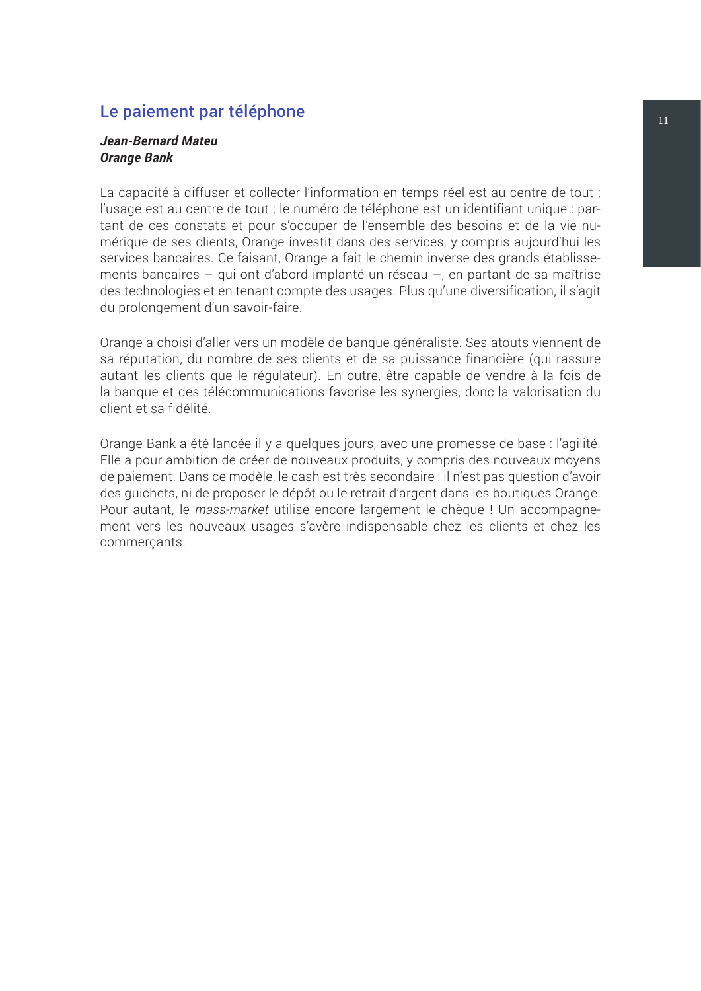### <span id="page-14-0"></span>le paiement par téléphone de la commune de la commune de la commune de la commune de la commune de la commune

#### *Jean-Bernard Mateu Orange Bank*

La capacité à diffuser et collecter l'information en temps réel est au centre de tout ; l'usage est au centre de tout ; le numéro de téléphone est un identifiant unique : partant de ces constats et pour s'occuper de l'ensemble des besoins et de la vie numérique de ses clients, Orange investit dans des services, y compris aujourd'hui les services bancaires. Ce faisant, Orange a fait le chemin inverse des grands établissements bancaires – qui ont d'abord implanté un réseau –, en partant de sa maîtrise des technologies et en tenant compte des usages. Plus qu'une diversification, il s'agit du prolongement d'un savoir-faire.

Orange a choisi d'aller vers un modèle de banque généraliste. Ses atouts viennent de sa réputation, du nombre de ses clients et de sa puissance financière (qui rassure autant les clients que le régulateur). En outre, être capable de vendre à la fois de la banque et des télécommunications favorise les synergies, donc la valorisation du client et sa fidélité.

Orange Bank a été lancée il y a quelques jours, avec une promesse de base : l'agilité. Elle a pour ambition de créer de nouveaux produits, y compris des nouveaux moyens de paiement. Dans ce modèle, le cash est très secondaire : il n'est pas question d'avoir des guichets, ni de proposer le dépôt ou le retrait d'argent dans les boutiques Orange. Pour autant, le *mass-market* utilise encore largement le chèque ! Un accompagnement vers les nouveaux usages s'avère indispensable chez les clients et chez les commerçants.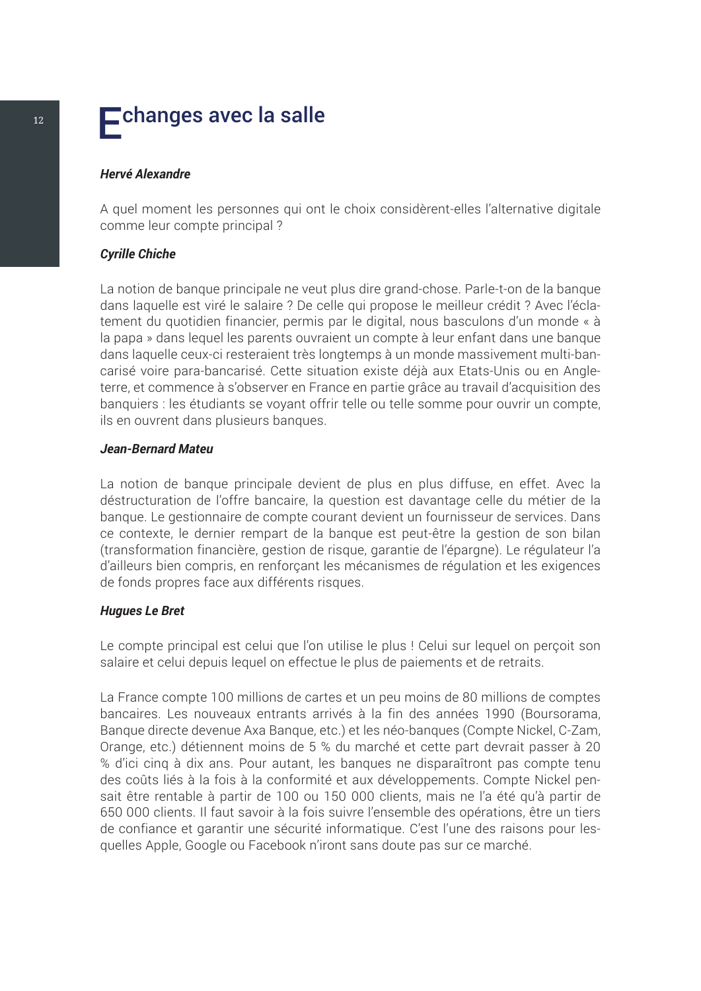## <span id="page-15-0"></span> $\overline{12}$  Echanges avec la salle

#### *Hervé Alexandre*

A quel moment les personnes qui ont le choix considèrent-elles l'alternative digitale comme leur compte principal ?

#### *Cyrille Chiche*

La notion de banque principale ne veut plus dire grand-chose. Parle-t-on de la banque dans laquelle est viré le salaire ? De celle qui propose le meilleur crédit ? Avec l'éclatement du quotidien financier, permis par le digital, nous basculons d'un monde « à la papa » dans lequel les parents ouvraient un compte à leur enfant dans une banque dans laquelle ceux-ci resteraient très longtemps à un monde massivement multi-bancarisé voire para-bancarisé. Cette situation existe déjà aux Etats-Unis ou en Angleterre, et commence à s'observer en France en partie grâce au travail d'acquisition des banquiers : les étudiants se voyant offrir telle ou telle somme pour ouvrir un compte, ils en ouvrent dans plusieurs banques.

#### *Jean-Bernard Mateu*

La notion de banque principale devient de plus en plus diffuse, en effet. Avec la déstructuration de l'offre bancaire, la question est davantage celle du métier de la banque. Le gestionnaire de compte courant devient un fournisseur de services. Dans ce contexte, le dernier rempart de la banque est peut-être la gestion de son bilan (transformation financière, gestion de risque, garantie de l'épargne). Le régulateur l'a d'ailleurs bien compris, en renforçant les mécanismes de régulation et les exigences de fonds propres face aux différents risques.

#### *Hugues Le Bret*

Le compte principal est celui que l'on utilise le plus ! Celui sur lequel on perçoit son salaire et celui depuis lequel on effectue le plus de paiements et de retraits.

La France compte 100 millions de cartes et un peu moins de 80 millions de comptes bancaires. Les nouveaux entrants arrivés à la fin des années 1990 (Boursorama, Banque directe devenue Axa Banque, etc.) et les néo-banques (Compte Nickel, C-Zam, Orange, etc.) détiennent moins de 5 % du marché et cette part devrait passer à 20 % d'ici cinq à dix ans. Pour autant, les banques ne disparaîtront pas compte tenu des coûts liés à la fois à la conformité et aux développements. Compte Nickel pensait être rentable à partir de 100 ou 150 000 clients, mais ne l'a été qu'à partir de 650 000 clients. Il faut savoir à la fois suivre l'ensemble des opérations, être un tiers de confiance et garantir une sécurité informatique. C'est l'une des raisons pour lesquelles Apple, Google ou Facebook n'iront sans doute pas sur ce marché.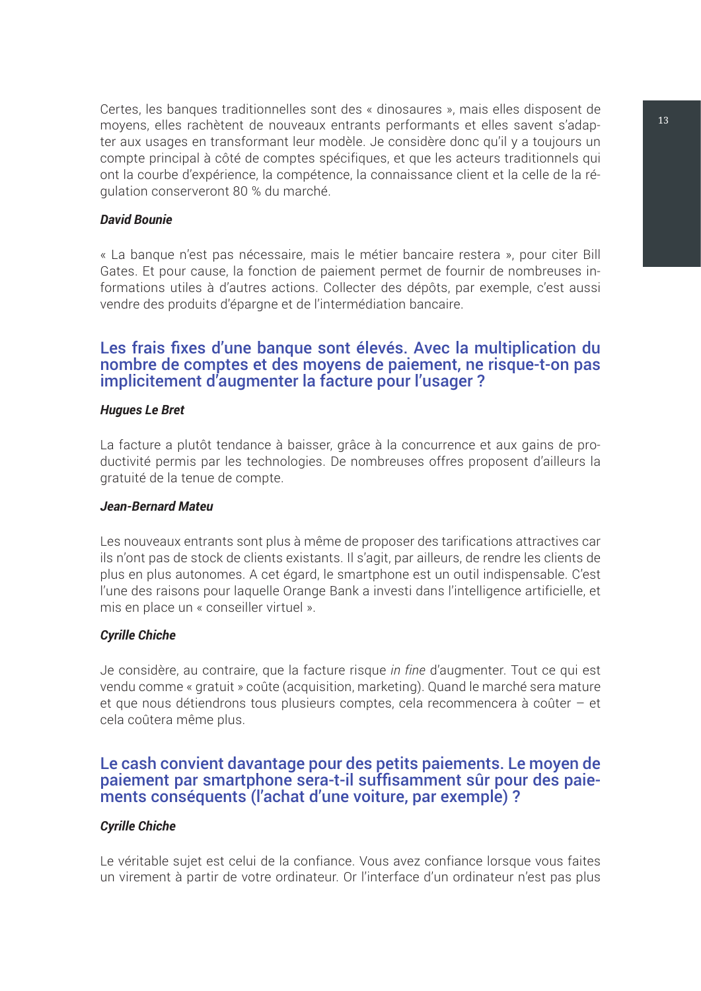Certes, les banques traditionnelles sont des « dinosaures », mais elles disposent de moyens, elles rachètent de nouveaux entrants performants et elles savent s'adapter aux usages en transformant leur modèle. Je considère donc qu'il y a toujours un compte principal à côté de comptes spécifiques, et que les acteurs traditionnels qui ont la courbe d'expérience, la compétence, la connaissance client et la celle de la régulation conserveront 80 % du marché.

#### *David Bounie*

« La banque n'est pas nécessaire, mais le métier bancaire restera », pour citer Bill Gates. Et pour cause, la fonction de paiement permet de fournir de nombreuses informations utiles à d'autres actions. Collecter des dépôts, par exemple, c'est aussi vendre des produits d'épargne et de l'intermédiation bancaire.

#### Les frais fixes d'une banque sont élevés. Avec la multiplication du nombre de comptes et des moyens de paiement, ne risque-t-on pas implicitement d'augmenter la facture pour l'usager ?

#### *Hugues Le Bret*

La facture a plutôt tendance à baisser, grâce à la concurrence et aux gains de productivité permis par les technologies. De nombreuses offres proposent d'ailleurs la gratuité de la tenue de compte.

#### *Jean-Bernard Mateu*

Les nouveaux entrants sont plus à même de proposer des tarifications attractives car ils n'ont pas de stock de clients existants. Il s'agit, par ailleurs, de rendre les clients de plus en plus autonomes. A cet égard, le smartphone est un outil indispensable. C'est l'une des raisons pour laquelle Orange Bank a investi dans l'intelligence artificielle, et mis en place un « conseiller virtuel ».

#### *Cyrille Chiche*

Je considère, au contraire, que la facture risque *in fine* d'augmenter. Tout ce qui est vendu comme « gratuit » coûte (acquisition, marketing). Quand le marché sera mature et que nous détiendrons tous plusieurs comptes, cela recommencera à coûter – et cela coûtera même plus.

## Le cash convient davantage pour des petits paiements. Le moyen de paiement par smartphone sera-t-il suffisamment sûr pour des paie- ments conséquents (l'achat d'une voiture, par exemple) ?

#### *Cyrille Chiche*

Le véritable sujet est celui de la confiance. Vous avez confiance lorsque vous faites un virement à partir de votre ordinateur. Or l'interface d'un ordinateur n'est pas plus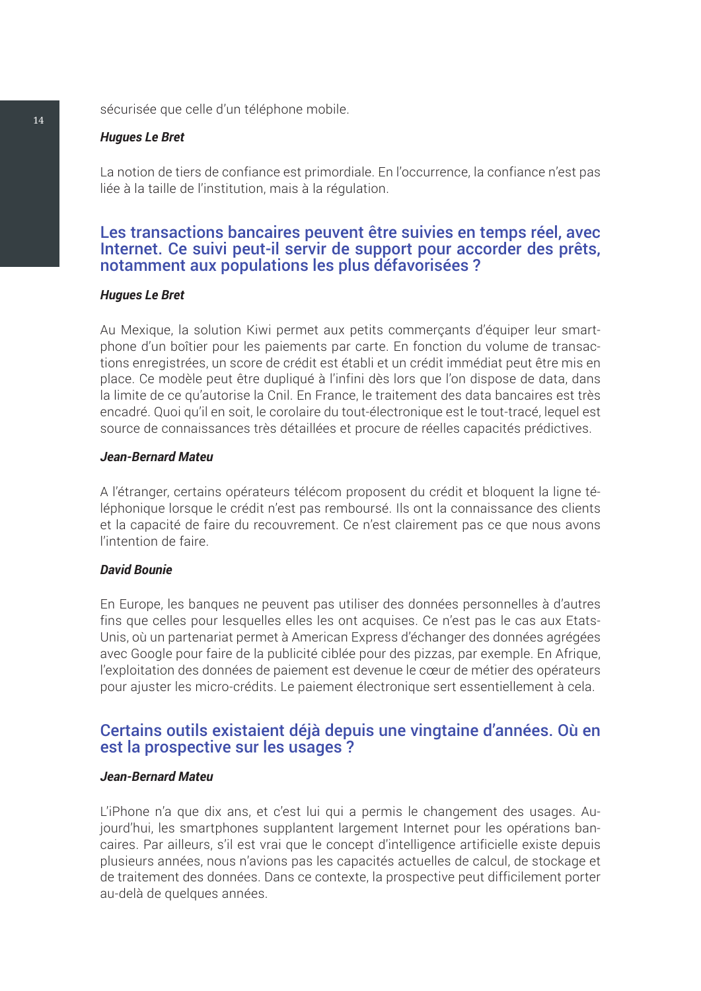sécurisée que celle d'un téléphone mobile.

#### *Hugues Le Bret*

La notion de tiers de confiance est primordiale. En l'occurrence, la confiance n'est pas liée à la taille de l'institution, mais à la régulation.

#### Les transactions bancaires peuvent être suivies en temps réel, avec Internet. Ce suivi peut-il servir de support pour accorder des prêts, notamment aux populations les plus défavorisées ?

#### *Hugues Le Bret*

Au Mexique, la solution Kiwi permet aux petits commerçants d'équiper leur smartphone d'un boîtier pour les paiements par carte. En fonction du volume de transactions enregistrées, un score de crédit est établi et un crédit immédiat peut être mis en place. Ce modèle peut être dupliqué à l'infini dès lors que l'on dispose de data, dans la limite de ce qu'autorise la Cnil. En France, le traitement des data bancaires est très encadré. Quoi qu'il en soit, le corolaire du tout-électronique est le tout-tracé, lequel est source de connaissances très détaillées et procure de réelles capacités prédictives.

#### *Jean-Bernard Mateu*

A l'étranger, certains opérateurs télécom proposent du crédit et bloquent la ligne téléphonique lorsque le crédit n'est pas remboursé. Ils ont la connaissance des clients et la capacité de faire du recouvrement. Ce n'est clairement pas ce que nous avons l'intention de faire.

#### *David Bounie*

En Europe, les banques ne peuvent pas utiliser des données personnelles à d'autres fins que celles pour lesquelles elles les ont acquises. Ce n'est pas le cas aux Etats-Unis, où un partenariat permet à American Express d'échanger des données agrégées avec Google pour faire de la publicité ciblée pour des pizzas, par exemple. En Afrique, l'exploitation des données de paiement est devenue le cœur de métier des opérateurs pour ajuster les micro-crédits. Le paiement électronique sert essentiellement à cela.

#### Certains outils existaient déjà depuis une vingtaine d'années. Où en est la prospective sur les usages ?

#### *Jean-Bernard Mateu*

L'iPhone n'a que dix ans, et c'est lui qui a permis le changement des usages. Aujourd'hui, les smartphones supplantent largement Internet pour les opérations bancaires. Par ailleurs, s'il est vrai que le concept d'intelligence artificielle existe depuis plusieurs années, nous n'avions pas les capacités actuelles de calcul, de stockage et de traitement des données. Dans ce contexte, la prospective peut difficilement porter au-delà de quelques années.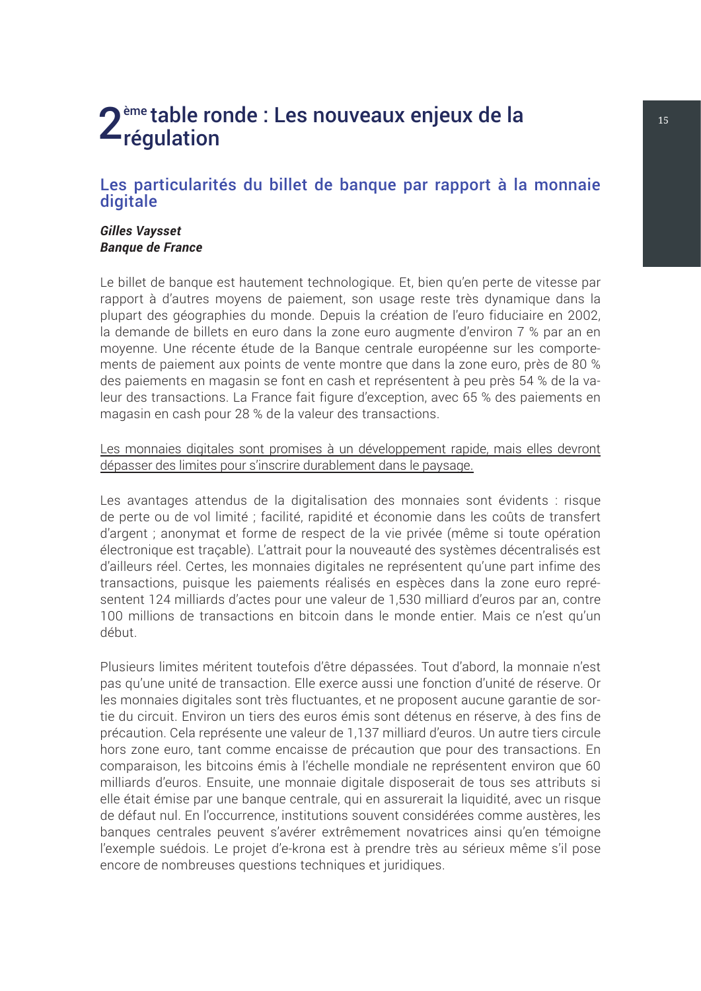## <span id="page-18-0"></span>2<sup>ème</sup> table ronde : Les nouveaux enjeux de la **15 de 19 de 19 de 19 de 19 de 19 de 19 de 19 de 19 de 19 de 19 de 19 de 19 de 19 de 19 de 19 de 19 de 19 de 19 de 19 de 19 de 19 de 19 de 19 de 19 de 19 de 19 de 19 de 19 de**

#### Les particularités du billet de banque par rapport à la monnaie digitale

#### *Gilles Vaysset Banque de France*

Le billet de banque est hautement technologique. Et, bien qu'en perte de vitesse par rapport à d'autres moyens de paiement, son usage reste très dynamique dans la plupart des géographies du monde. Depuis la création de l'euro fiduciaire en 2002, la demande de billets en euro dans la zone euro augmente d'environ 7 % par an en moyenne. Une récente étude de la Banque centrale européenne sur les comportements de paiement aux points de vente montre que dans la zone euro, près de 80 % des paiements en magasin se font en cash et représentent à peu près 54 % de la valeur des transactions. La France fait figure d'exception, avec 65 % des paiements en magasin en cash pour 28 % de la valeur des transactions.

Les monnaies digitales sont promises à un développement rapide, mais elles devront dépasser des limites pour s'inscrire durablement dans le paysage.

Les avantages attendus de la digitalisation des monnaies sont évidents : risque de perte ou de vol limité ; facilité, rapidité et économie dans les coûts de transfert d'argent ; anonymat et forme de respect de la vie privée (même si toute opération électronique est traçable). L'attrait pour la nouveauté des systèmes décentralisés est d'ailleurs réel. Certes, les monnaies digitales ne représentent qu'une part infime des transactions, puisque les paiements réalisés en espèces dans la zone euro représentent 124 milliards d'actes pour une valeur de 1,530 milliard d'euros par an, contre 100 millions de transactions en bitcoin dans le monde entier. Mais ce n'est qu'un début.

Plusieurs limites méritent toutefois d'être dépassées. Tout d'abord, la monnaie n'est pas qu'une unité de transaction. Elle exerce aussi une fonction d'unité de réserve. Or les monnaies digitales sont très fluctuantes, et ne proposent aucune garantie de sortie du circuit. Environ un tiers des euros émis sont détenus en réserve, à des fins de précaution. Cela représente une valeur de 1,137 milliard d'euros. Un autre tiers circule hors zone euro, tant comme encaisse de précaution que pour des transactions. En comparaison, les bitcoins émis à l'échelle mondiale ne représentent environ que 60 milliards d'euros. Ensuite, une monnaie digitale disposerait de tous ses attributs si elle était émise par une banque centrale, qui en assurerait la liquidité, avec un risque de défaut nul. En l'occurrence, institutions souvent considérées comme austères, les banques centrales peuvent s'avérer extrêmement novatrices ainsi qu'en témoigne l'exemple suédois. Le projet d'e-krona est à prendre très au sérieux même s'il pose encore de nombreuses questions techniques et juridiques.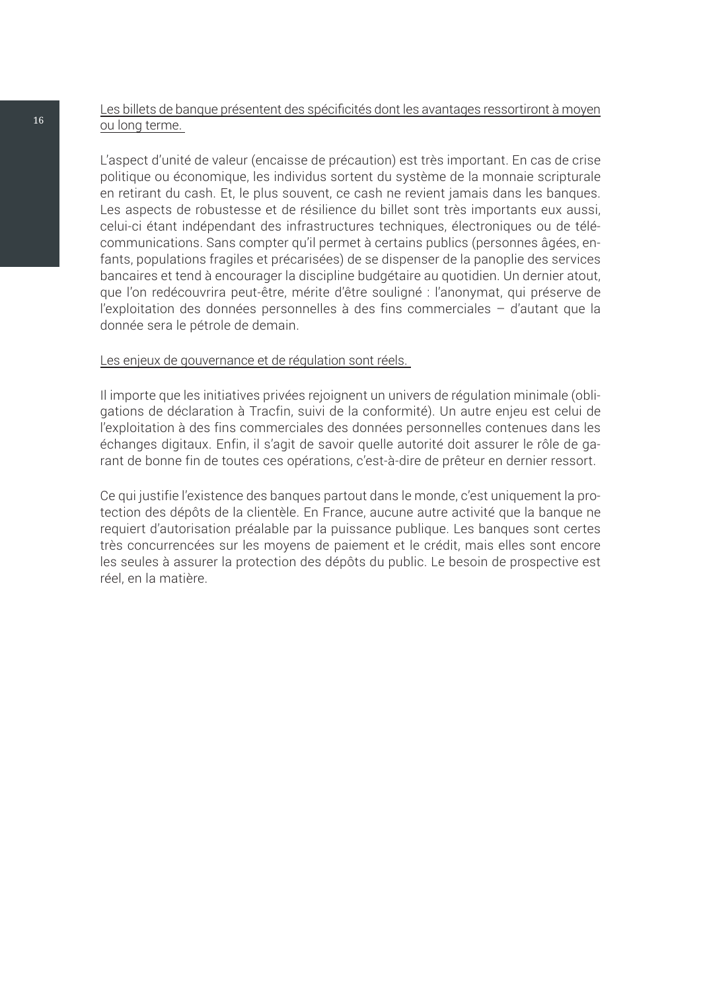#### Les billets de banque présentent des spécificités dont les avantages ressortiront à moyen ou long terme.

L'aspect d'unité de valeur (encaisse de précaution) est très important. En cas de crise politique ou économique, les individus sortent du système de la monnaie scripturale en retirant du cash. Et, le plus souvent, ce cash ne revient jamais dans les banques. Les aspects de robustesse et de résilience du billet sont très importants eux aussi, celui-ci étant indépendant des infrastructures techniques, électroniques ou de télécommunications. Sans compter qu'il permet à certains publics (personnes âgées, enfants, populations fragiles et précarisées) de se dispenser de la panoplie des services bancaires et tend à encourager la discipline budgétaire au quotidien. Un dernier atout, que l'on redécouvrira peut-être, mérite d'être souligné : l'anonymat, qui préserve de l'exploitation des données personnelles à des fins commerciales – d'autant que la donnée sera le pétrole de demain.

#### Les enjeux de gouvernance et de régulation sont réels.

Il importe que les initiatives privées rejoignent un univers de régulation minimale (obligations de déclaration à Tracfin, suivi de la conformité). Un autre enjeu est celui de l'exploitation à des fins commerciales des données personnelles contenues dans les échanges digitaux. Enfin, il s'agit de savoir quelle autorité doit assurer le rôle de garant de bonne fin de toutes ces opérations, c'est-à-dire de prêteur en dernier ressort.

Ce qui justifie l'existence des banques partout dans le monde, c'est uniquement la protection des dépôts de la clientèle. En France, aucune autre activité que la banque ne requiert d'autorisation préalable par la puissance publique. Les banques sont certes très concurrencées sur les moyens de paiement et le crédit, mais elles sont encore les seules à assurer la protection des dépôts du public. Le besoin de prospective est réel, en la matière.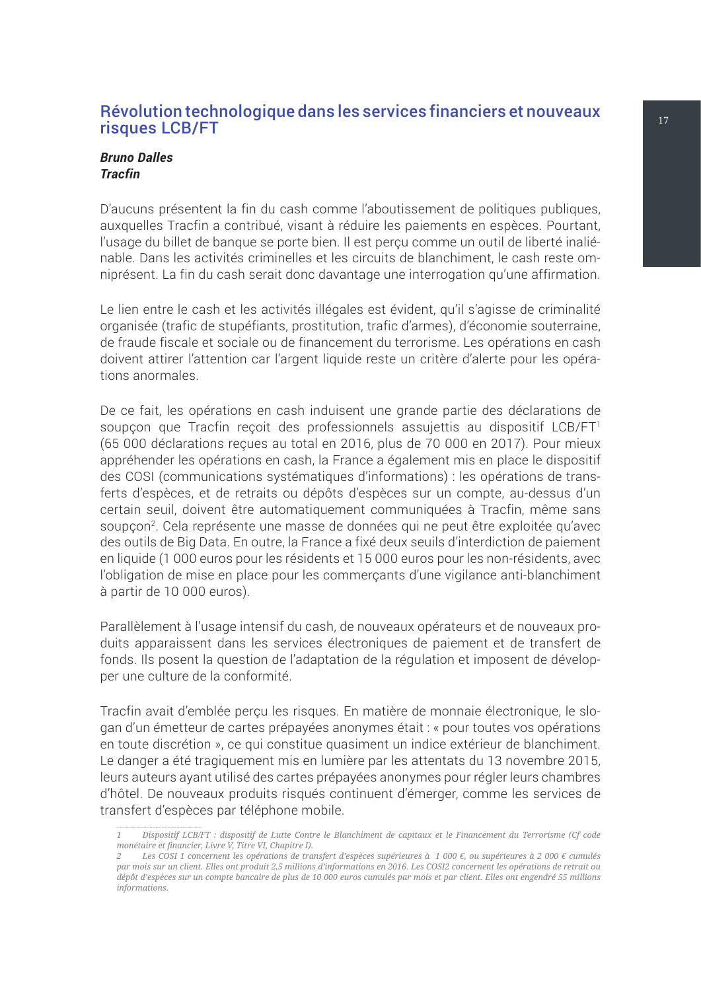#### <span id="page-20-0"></span>Révolution technologique dans les services financiers et nouveaux les traites risques LCB/FT

#### *Bruno Dalles Tracfin*

D'aucuns présentent la fin du cash comme l'aboutissement de politiques publiques, auxquelles Tracfin a contribué, visant à réduire les paiements en espèces. Pourtant, l'usage du billet de banque se porte bien. Il est perçu comme un outil de liberté inaliénable. Dans les activités criminelles et les circuits de blanchiment, le cash reste omniprésent. La fin du cash serait donc davantage une interrogation qu'une affirmation.

Le lien entre le cash et les activités illégales est évident, qu'il s'agisse de criminalité organisée (trafic de stupéfiants, prostitution, trafic d'armes), d'économie souterraine, de fraude fiscale et sociale ou de financement du terrorisme. Les opérations en cash doivent attirer l'attention car l'argent liquide reste un critère d'alerte pour les opérations anormales.

De ce fait, les opérations en cash induisent une grande partie des déclarations de soupçon que Tracfin reçoit des professionnels assujettis au dispositif LCB/FT<sup>1</sup> (65 000 déclarations reçues au total en 2016, plus de 70 000 en 2017). Pour mieux appréhender les opérations en cash, la France a également mis en place le dispositif des COSI (communications systématiques d'informations) : les opérations de transferts d'espèces, et de retraits ou dépôts d'espèces sur un compte, au-dessus d'un certain seuil, doivent être automatiquement communiquées à Tracfin, même sans soupçon<sup>2</sup>. Cela représente une masse de données qui ne peut être exploitée qu'avec des outils de Big Data. En outre, la France a fixé deux seuils d'interdiction de paiement en liquide (1 000 euros pour les résidents et 15 000 euros pour les non-résidents, avec l'obligation de mise en place pour les commerçants d'une vigilance anti-blanchiment à partir de 10 000 euros).

Parallèlement à l'usage intensif du cash, de nouveaux opérateurs et de nouveaux produits apparaissent dans les services électroniques de paiement et de transfert de fonds. Ils posent la question de l'adaptation de la régulation et imposent de développer une culture de la conformité.

Tracfin avait d'emblée perçu les risques. En matière de monnaie électronique, le slogan d'un émetteur de cartes prépayées anonymes était : « pour toutes vos opérations en toute discrétion », ce qui constitue quasiment un indice extérieur de blanchiment. Le danger a été tragiquement mis en lumière par les attentats du 13 novembre 2015, leurs auteurs ayant utilisé des cartes prépayées anonymes pour régler leurs chambres d'hôtel. De nouveaux produits risqués continuent d'émerger, comme les services de transfert d'espèces par téléphone mobile.

*<sup>1</sup> Dispositif LCB/FT : dispositif de Lutte Contre le Blanchiment de capitaux et le Financement du Terrorisme (Cf code monétaire et financier, Livre V, Titre VI, Chapitre I).*

*<sup>2</sup> Les COSI 1 concernent les opérations de transfert d'espèces supérieures à 1 000 €, ou supérieures à 2 000 € cumulés par mois sur un client. Elles ont produit 2,5 millions d'informations en 2016. Les COSI2 concernent les opérations de retrait ou dépôt d'espèces sur un compte bancaire de plus de 10 000 euros cumulés par mois et par client. Elles ont engendré 55 millions informations.*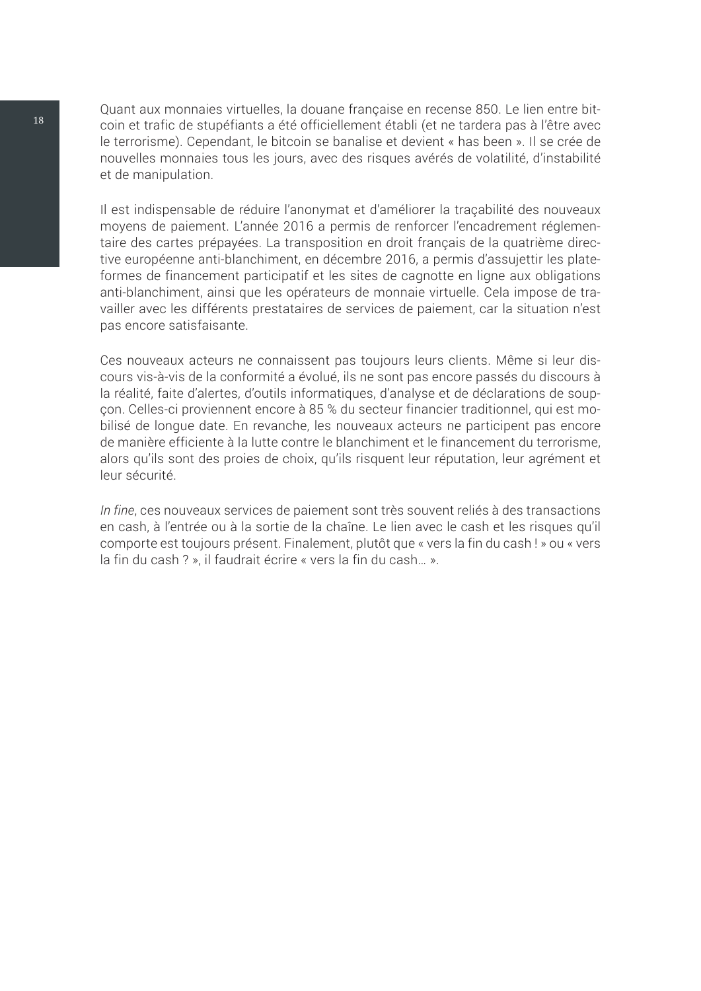Quant aux monnaies virtuelles, la douane française en recense 850. Le lien entre bitcoin et trafic de stupéfiants a été officiellement établi (et ne tardera pas à l'être avec le terrorisme). Cependant, le bitcoin se banalise et devient « has been ». Il se crée de nouvelles monnaies tous les jours, avec des risques avérés de volatilité, d'instabilité et de manipulation.

Il est indispensable de réduire l'anonymat et d'améliorer la traçabilité des nouveaux moyens de paiement. L'année 2016 a permis de renforcer l'encadrement réglementaire des cartes prépayées. La transposition en droit français de la quatrième directive européenne anti-blanchiment, en décembre 2016, a permis d'assujettir les plateformes de financement participatif et les sites de cagnotte en ligne aux obligations anti-blanchiment, ainsi que les opérateurs de monnaie virtuelle. Cela impose de travailler avec les différents prestataires de services de paiement, car la situation n'est pas encore satisfaisante.

Ces nouveaux acteurs ne connaissent pas toujours leurs clients. Même si leur discours vis-à-vis de la conformité a évolué, ils ne sont pas encore passés du discours à la réalité, faite d'alertes, d'outils informatiques, d'analyse et de déclarations de soupçon. Celles-ci proviennent encore à 85 % du secteur financier traditionnel, qui est mobilisé de longue date. En revanche, les nouveaux acteurs ne participent pas encore de manière efficiente à la lutte contre le blanchiment et le financement du terrorisme, alors qu'ils sont des proies de choix, qu'ils risquent leur réputation, leur agrément et leur sécurité.

*In fine*, ces nouveaux services de paiement sont très souvent reliés à des transactions en cash, à l'entrée ou à la sortie de la chaîne. Le lien avec le cash et les risques qu'il comporte est toujours présent. Finalement, plutôt que « vers la fin du cash ! » ou « vers la fin du cash ? », il faudrait écrire « vers la fin du cash… ».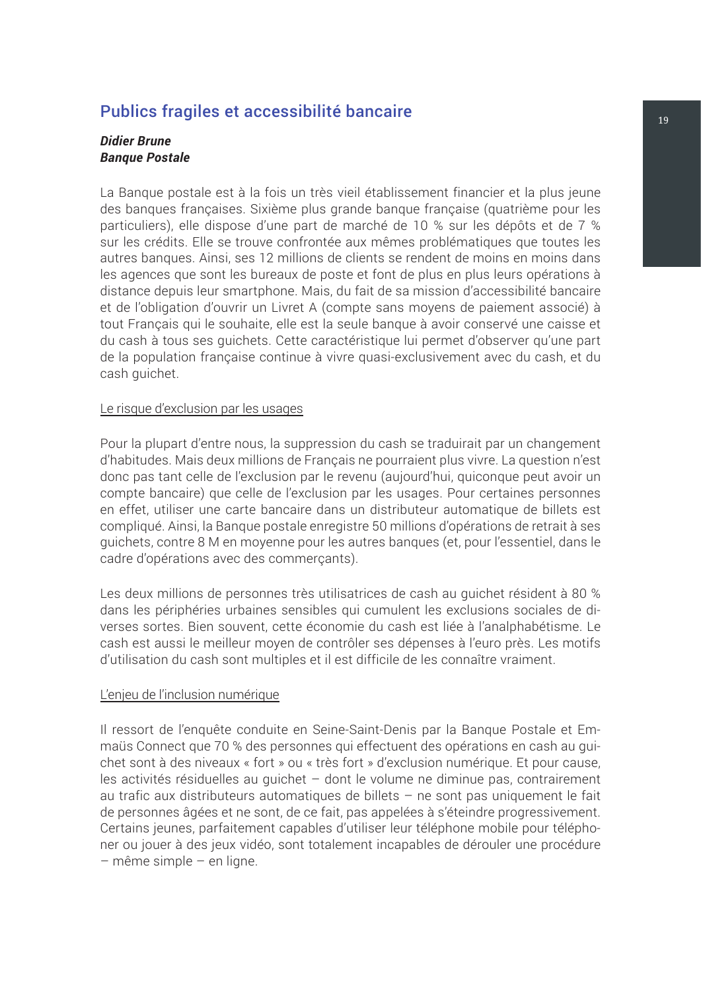## <span id="page-22-0"></span>Publics fragiles et accessibilité bancaire de la contraste de la proposition de la proposition de la propositio

#### *Didier Brune Banque Postale*

La Banque postale est à la fois un très vieil établissement financier et la plus jeune des banques françaises. Sixième plus grande banque française (quatrième pour les particuliers), elle dispose d'une part de marché de 10 % sur les dépôts et de 7 % sur les crédits. Elle se trouve confrontée aux mêmes problématiques que toutes les autres banques. Ainsi, ses 12 millions de clients se rendent de moins en moins dans les agences que sont les bureaux de poste et font de plus en plus leurs opérations à distance depuis leur smartphone. Mais, du fait de sa mission d'accessibilité bancaire et de l'obligation d'ouvrir un Livret A (compte sans moyens de paiement associé) à tout Français qui le souhaite, elle est la seule banque à avoir conservé une caisse et du cash à tous ses guichets. Cette caractéristique lui permet d'observer qu'une part de la population française continue à vivre quasi-exclusivement avec du cash, et du cash guichet.

#### Le risque d'exclusion par les usages

Pour la plupart d'entre nous, la suppression du cash se traduirait par un changement d'habitudes. Mais deux millions de Français ne pourraient plus vivre. La question n'est donc pas tant celle de l'exclusion par le revenu (aujourd'hui, quiconque peut avoir un compte bancaire) que celle de l'exclusion par les usages. Pour certaines personnes en effet, utiliser une carte bancaire dans un distributeur automatique de billets est compliqué. Ainsi, la Banque postale enregistre 50 millions d'opérations de retrait à ses guichets, contre 8 M en moyenne pour les autres banques (et, pour l'essentiel, dans le cadre d'opérations avec des commerçants).

Les deux millions de personnes très utilisatrices de cash au guichet résident à 80 % dans les périphéries urbaines sensibles qui cumulent les exclusions sociales de diverses sortes. Bien souvent, cette économie du cash est liée à l'analphabétisme. Le cash est aussi le meilleur moyen de contrôler ses dépenses à l'euro près. Les motifs d'utilisation du cash sont multiples et il est difficile de les connaître vraiment.

#### L'enjeu de l'inclusion numérique

Il ressort de l'enquête conduite en Seine-Saint-Denis par la Banque Postale et Emmaüs Connect que 70 % des personnes qui effectuent des opérations en cash au guichet sont à des niveaux « fort » ou « très fort » d'exclusion numérique. Et pour cause, les activités résiduelles au guichet – dont le volume ne diminue pas, contrairement au trafic aux distributeurs automatiques de billets – ne sont pas uniquement le fait de personnes âgées et ne sont, de ce fait, pas appelées à s'éteindre progressivement. Certains jeunes, parfaitement capables d'utiliser leur téléphone mobile pour téléphoner ou jouer à des jeux vidéo, sont totalement incapables de dérouler une procédure – même simple – en ligne.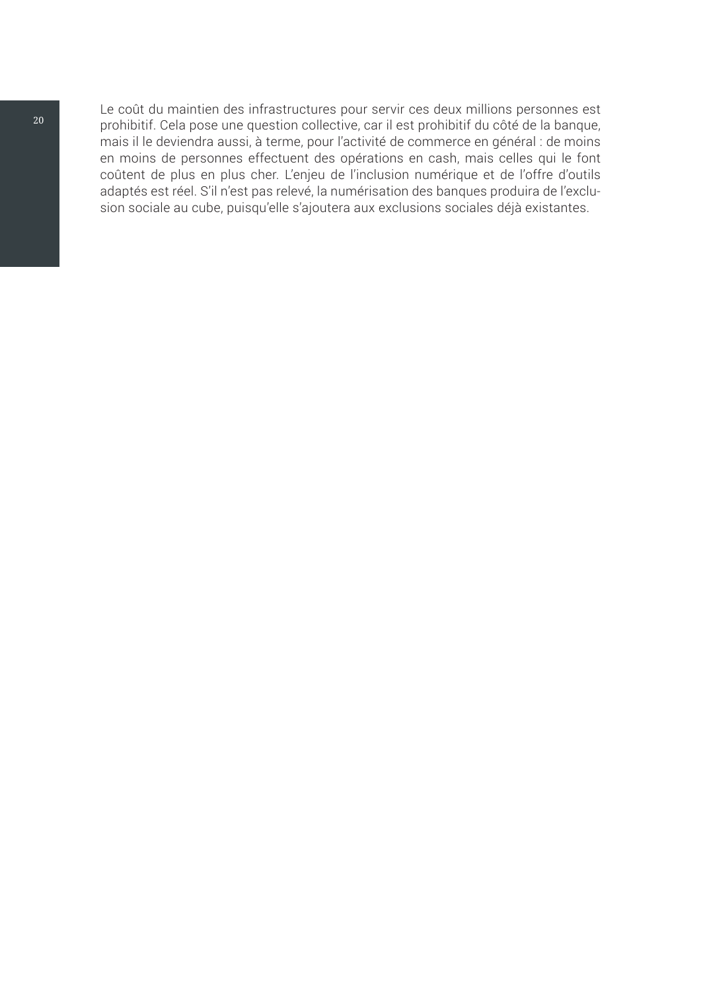Le coût du maintien des infrastructures pour servir ces deux millions personnes est prohibitif. Cela pose une question collective, car il est prohibitif du côté de la banque, mais il le deviendra aussi, à terme, pour l'activité de commerce en général : de moins en moins de personnes effectuent des opérations en cash, mais celles qui le font coûtent de plus en plus cher. L'enjeu de l'inclusion numérique et de l'offre d'outils adaptés est réel. S'il n'est pas relevé, la numérisation des banques produira de l'exclusion sociale au cube, puisqu'elle s'ajoutera aux exclusions sociales déjà existantes.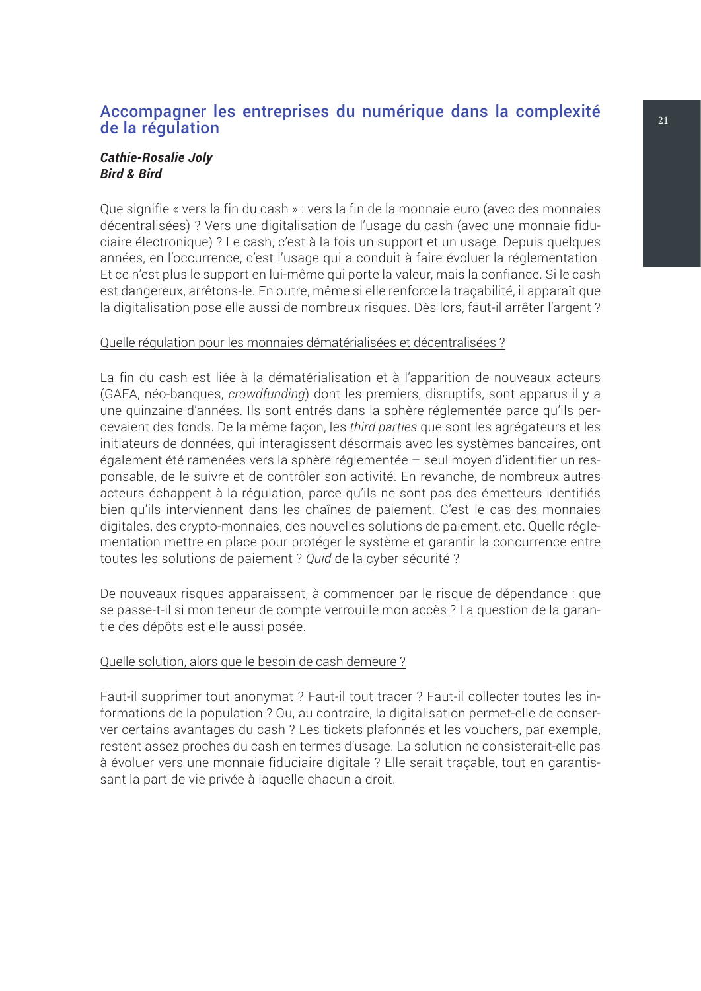#### <span id="page-24-0"></span>Accompagner les entreprises du numérique dans la complexité de la régulation

#### *Cathie-Rosalie Joly Bird & Bird*

Que signifie « vers la fin du cash » : vers la fin de la monnaie euro (avec des monnaies décentralisées) ? Vers une digitalisation de l'usage du cash (avec une monnaie fiduciaire électronique) ? Le cash, c'est à la fois un support et un usage. Depuis quelques années, en l'occurrence, c'est l'usage qui a conduit à faire évoluer la réglementation. Et ce n'est plus le support en lui-même qui porte la valeur, mais la confiance. Si le cash est dangereux, arrêtons-le. En outre, même si elle renforce la traçabilité, il apparaît que la digitalisation pose elle aussi de nombreux risques. Dès lors, faut-il arrêter l'argent ?

#### Quelle régulation pour les monnaies dématérialisées et décentralisées ?

La fin du cash est liée à la dématérialisation et à l'apparition de nouveaux acteurs (GAFA, néo-banques, *crowdfunding*) dont les premiers, disruptifs, sont apparus il y a une quinzaine d'années. Ils sont entrés dans la sphère réglementée parce qu'ils percevaient des fonds. De la même façon, les *third parties* que sont les agrégateurs et les initiateurs de données, qui interagissent désormais avec les systèmes bancaires, ont également été ramenées vers la sphère réglementée – seul moyen d'identifier un responsable, de le suivre et de contrôler son activité. En revanche, de nombreux autres acteurs échappent à la régulation, parce qu'ils ne sont pas des émetteurs identifiés bien qu'ils interviennent dans les chaînes de paiement. C'est le cas des monnaies digitales, des crypto-monnaies, des nouvelles solutions de paiement, etc. Quelle réglementation mettre en place pour protéger le système et garantir la concurrence entre toutes les solutions de paiement ? *Quid* de la cyber sécurité ?

De nouveaux risques apparaissent, à commencer par le risque de dépendance : que se passe-t-il si mon teneur de compte verrouille mon accès ? La question de la garantie des dépôts est elle aussi posée.

#### Quelle solution, alors que le besoin de cash demeure ?

Faut-il supprimer tout anonymat ? Faut-il tout tracer ? Faut-il collecter toutes les informations de la population ? Ou, au contraire, la digitalisation permet-elle de conserver certains avantages du cash ? Les tickets plafonnés et les vouchers, par exemple, restent assez proches du cash en termes d'usage. La solution ne consisterait-elle pas à évoluer vers une monnaie fiduciaire digitale ? Elle serait traçable, tout en garantissant la part de vie privée à laquelle chacun a droit.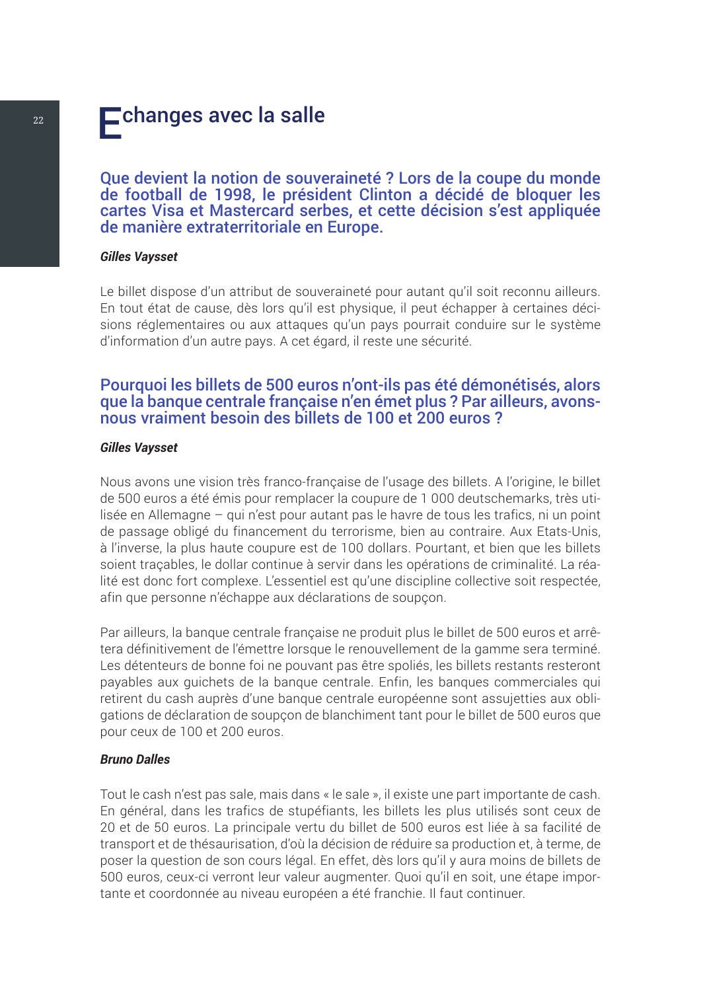## <span id="page-25-0"></span> $\overline{22}$  Echanges avec la salle

Que devient la notion de souveraineté ? Lors de la coupe du monde de football de 1998, le président Clinton a décidé de bloquer les cartes Visa et Mastercard serbes, et cette décision s'est appliquée de manière extraterritoriale en Europe.

#### *Gilles Vaysset*

Le billet dispose d'un attribut de souveraineté pour autant qu'il soit reconnu ailleurs. En tout état de cause, dès lors qu'il est physique, il peut échapper à certaines décisions réglementaires ou aux attaques qu'un pays pourrait conduire sur le système d'information d'un autre pays. A cet égard, il reste une sécurité.

#### Pourquoi les billets de 500 euros n'ont-ils pas été démonétisés, alors que la banque centrale française n'en émet plus ? Par ailleurs, avonsnous vraiment besoin des billets de 100 et 200 euros ?

#### *Gilles Vaysset*

Nous avons une vision très franco-française de l'usage des billets. A l'origine, le billet de 500 euros a été émis pour remplacer la coupure de 1 000 deutschemarks, très utilisée en Allemagne – qui n'est pour autant pas le havre de tous les trafics, ni un point de passage obligé du financement du terrorisme, bien au contraire. Aux Etats-Unis, à l'inverse, la plus haute coupure est de 100 dollars. Pourtant, et bien que les billets soient traçables, le dollar continue à servir dans les opérations de criminalité. La réalité est donc fort complexe. L'essentiel est qu'une discipline collective soit respectée, afin que personne n'échappe aux déclarations de soupçon.

Par ailleurs, la banque centrale française ne produit plus le billet de 500 euros et arrêtera définitivement de l'émettre lorsque le renouvellement de la gamme sera terminé. Les détenteurs de bonne foi ne pouvant pas être spoliés, les billets restants resteront payables aux guichets de la banque centrale. Enfin, les banques commerciales qui retirent du cash auprès d'une banque centrale européenne sont assujetties aux obligations de déclaration de soupçon de blanchiment tant pour le billet de 500 euros que pour ceux de 100 et 200 euros.

#### *Bruno Dalles*

Tout le cash n'est pas sale, mais dans « le sale », il existe une part importante de cash. En général, dans les trafics de stupéfiants, les billets les plus utilisés sont ceux de 20 et de 50 euros. La principale vertu du billet de 500 euros est liée à sa facilité de transport et de thésaurisation, d'où la décision de réduire sa production et, à terme, de poser la question de son cours légal. En effet, dès lors qu'il y aura moins de billets de 500 euros, ceux-ci verront leur valeur augmenter. Quoi qu'il en soit, une étape importante et coordonnée au niveau européen a été franchie. Il faut continuer.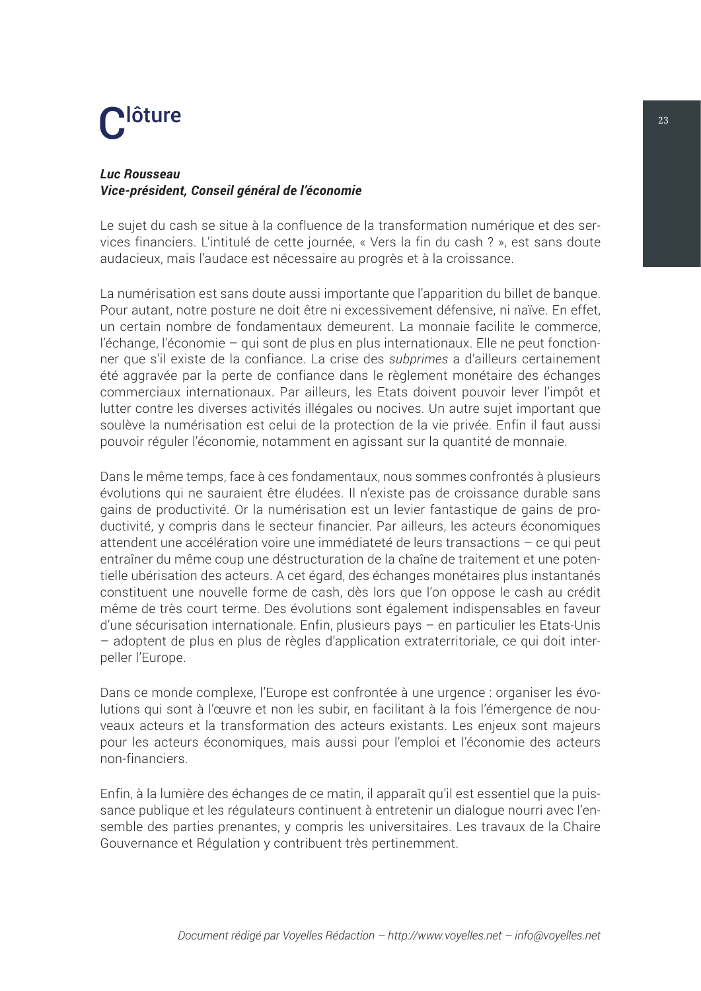## <span id="page-26-0"></span> $\mathbf{C}^{\text{lõture}}$

#### *Luc Rousseau Vice-président, Conseil général de l'économie*

Le sujet du cash se situe à la confluence de la transformation numérique et des services financiers. L'intitulé de cette journée, « Vers la fin du cash ? », est sans doute audacieux, mais l'audace est nécessaire au progrès et à la croissance.

La numérisation est sans doute aussi importante que l'apparition du billet de banque. Pour autant, notre posture ne doit être ni excessivement défensive, ni naïve. En effet, un certain nombre de fondamentaux demeurent. La monnaie facilite le commerce, l'échange, l'économie – qui sont de plus en plus internationaux. Elle ne peut fonctionner que s'il existe de la confiance. La crise des *subprimes* a d'ailleurs certainement été aggravée par la perte de confiance dans le règlement monétaire des échanges commerciaux internationaux. Par ailleurs, les Etats doivent pouvoir lever l'impôt et lutter contre les diverses activités illégales ou nocives. Un autre sujet important que soulève la numérisation est celui de la protection de la vie privée. Enfin il faut aussi pouvoir réguler l'économie, notamment en agissant sur la quantité de monnaie.

Dans le même temps, face à ces fondamentaux, nous sommes confrontés à plusieurs évolutions qui ne sauraient être éludées. Il n'existe pas de croissance durable sans gains de productivité. Or la numérisation est un levier fantastique de gains de productivité, y compris dans le secteur financier. Par ailleurs, les acteurs économiques attendent une accélération voire une immédiateté de leurs transactions – ce qui peut entraîner du même coup une déstructuration de la chaîne de traitement et une potentielle ubérisation des acteurs. A cet égard, des échanges monétaires plus instantanés constituent une nouvelle forme de cash, dès lors que l'on oppose le cash au crédit même de très court terme. Des évolutions sont également indispensables en faveur d'une sécurisation internationale. Enfin, plusieurs pays – en particulier les Etats-Unis – adoptent de plus en plus de règles d'application extraterritoriale, ce qui doit interpeller l'Europe.

Dans ce monde complexe, l'Europe est confrontée à une urgence : organiser les évolutions qui sont à l'œuvre et non les subir, en facilitant à la fois l'émergence de nouveaux acteurs et la transformation des acteurs existants. Les enjeux sont majeurs pour les acteurs économiques, mais aussi pour l'emploi et l'économie des acteurs non-financiers.

Enfin, à la lumière des échanges de ce matin, il apparaît qu'il est essentiel que la puissance publique et les régulateurs continuent à entretenir un dialogue nourri avec l'ensemble des parties prenantes, y compris les universitaires. Les travaux de la Chaire Gouvernance et Régulation y contribuent très pertinemment.